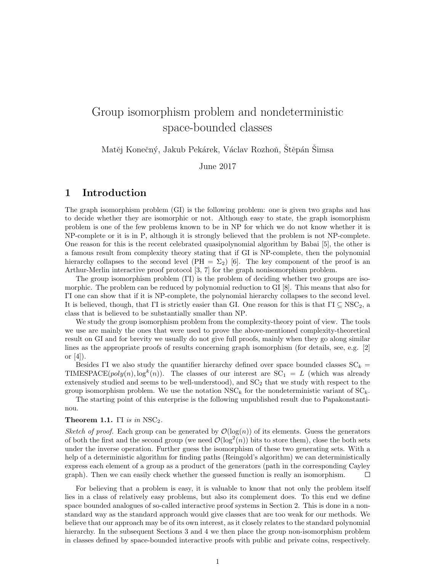# Group isomorphism problem and nondeterministic space-bounded classes

Matěj Konečný, Jakub Pekárek, Václav Rozhoň, Stěpán Simsa

June 2017

## 1 Introduction

The graph isomorphism problem (GI) is the following problem: one is given two graphs and has to decide whether they are isomorphic or not. Although easy to state, the graph isomorphism problem is one of the few problems known to be in NP for which we do not know whether it is NP-complete or it is in P, although it is strongly believed that the problem is not NP-complete. One reason for this is the recent celebrated quasipolynomial algorithm by Babai [5], the other is a famous result from complexity theory stating that if GI is NP-complete, then the polynomial hierarchy collapses to the second level (PH =  $\Sigma_2$ ) [6]. The key component of the proof is an Arthur-Merlin interactive proof protocol [3, 7] for the graph nonisomorphism problem.

The group isomorphism problem (ΓI) is the problem of deciding whether two groups are isomorphic. The problem can be reduced by polynomial reduction to GI [8]. This means that also for ΓI one can show that if it is NP-complete, the polynomial hierarchy collapses to the second level. It is believed, though, that ΓΙ is strictly easier than GI. One reason for this is that ΓΙ  $\subseteq$  NSC<sub>2</sub>, a class that is believed to be substantially smaller than NP.

We study the group isomorphism problem from the complexity-theory point of view. The tools we use are mainly the ones that were used to prove the above-mentioned complexity-theoretical result on GI and for brevity we usually do not give full proofs, mainly when they go along similar lines as the appropriate proofs of results concerning graph isomorphism (for details, see, e.g. [2] or  $[4]$ ).

Besides ΓΙ we also study the quantifier hierarchy defined over space bounded classes  $SC_k$  = TIMESPACE( $poly(n), \log^k(n)$ ). The classes of our interest are  $SC_1 = L$  (which was already extensively studied and seems to be well-understood), and  $SC<sub>2</sub>$  that we study with respect to the group isomorphism problem. We use the notation  $NSC_k$  for the nondeterministic variant of  $SC_k$ .

The starting point of this enterprise is the following unpublished result due to Papakonstantinou.

#### **Theorem 1.1.** ΓΙ is in  $NSC_2$ .

Sketch of proof. Each group can be generated by  $\mathcal{O}(\log(n))$  of its elements. Guess the generators of both the first and the second group (we need  $\mathcal{O}(\log^2(n))$  bits to store them), close the both sets under the inverse operation. Further guess the isomorphism of these two generating sets. With a help of a deterministic algorithm for finding paths (Reingold's algorithm) we can deterministically express each element of a group as a product of the generators (path in the corresponding Cayley graph). Then we can easily check whether the guessed function is really an isomorphism.  $\Box$ 

For believing that a problem is easy, it is valuable to know that not only the problem itself lies in a class of relatively easy problems, but also its complement does. To this end we define space bounded analogues of so-called interactive proof systems in Section 2. This is done in a nonstandard way as the standard approach would give classes that are too weak for our methods. We believe that our approach may be of its own interest, as it closely relates to the standard polynomial hierarchy. In the subsequent Sections 3 and 4 we then place the group non-isomorphism problem in classes defined by space-bounded interactive proofs with public and private coins, respectively.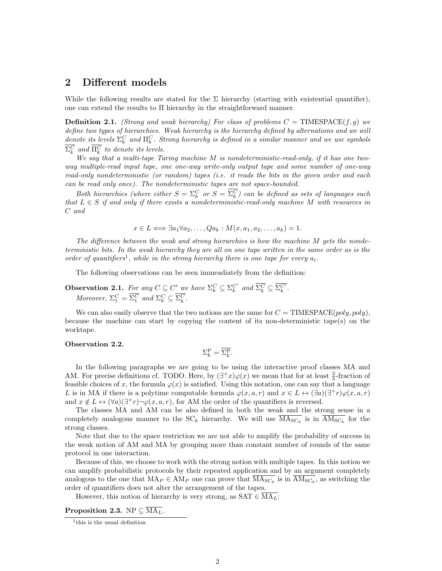## 2 Different models

While the following results are stated for the  $\Sigma$  hierarchy (starting with existential quantifier), one can extend the results to  $\Pi$  hierarchy in the straightforward manner.

**Definition 2.1.** (Strong and weak hierarchy) For class of problems  $C = \text{TIMESPACE}(f, g)$  we define two types of hierarchies. Weak hierarchy is the hierarchy defined by alternations and we will denote its levels  $\Sigma_k^C$  and  $\Pi_k^C$ . Strong hierarchy is defined in a similar manner and we use symbols  $\Sigma_k^C$  and  $\Pi_k^C$  to denote its levels.

We say that a multi-tape Turing machine M is nondeterministic-read-only, if it has one twoway multiple-read input tape, one one-way write-only output tape and some number of one-way read-only nondeterministic (or random) tapes (i.e. it reads the bits in the given order and each can be read only once). The nondeterministic tapes are not space-bounded.

Both hierarchies (where either  $S = \sum_{k=0}^{C}$  or  $S = \sum_{k=0}^{C}$ ) can be defined as sets of languages such that  $L \in S$  if and only if there exists a nondeterministic-read-only machine M with resources in C and

$$
x \in L \Longleftrightarrow \exists a_1 \forall a_2, \dots, Q a_k : M(x, a_1, a_2, \dots, a_k) = 1.
$$

The difference between the weak and strong hierarchies is how the machine M gets the nondeterministic bits. In the weak hierarchy they are all on one tape written in the same order as is the order of quantifiers<sup>1</sup>, while in the strong hierarchy there is one tape for every  $a_i$ .

The following observations can be seen immeadiately from the definition:

**Observation 2.1.** For any 
$$
C \subseteq C'
$$
 we have  $\Sigma_k^C \subseteq \Sigma_k^{C'}$  and  $\overline{\Sigma_k^C} \subseteq \overline{\Sigma_k^{C'}}$ .  
Moreover,  $\Sigma_1^C = \overline{\Sigma_1^C}$  and  $\Sigma_k^C \subseteq \overline{\Sigma_k^C}$ .

We can also easily observe that the two notions are the same for  $C = \text{TIMESPACE}(poly, poly)$ , because the machine can start by copying the content of its non-deterministic tape(s) on the worktape.

#### Observation 2.2.

$$
\Sigma_k^{\mathcal{P}} = \overline{\Sigma_k^{\mathcal{P}}}.
$$

In the following paragraphs we are going to be using the interactive proof classes MA and AM. For precise definitions cf. TODO. Here, by  $(\exists^+ x)\varphi(x)$  we mean that for at least  $\frac{2}{3}$ -fraction of feasible choices of x, the formula  $\varphi(x)$  is satisfied. Using this notation, one can say that a language L is in MA if there is a polytime computable formula  $\varphi(x, a, r)$  and  $x \in L \leftrightarrow (\exists a)(\exists^+ r)\varphi(x, a, r)$ and  $x \notin L \leftrightarrow (\forall a)(\exists^+ r) \neg \varphi(x, a, r)$ , for AM the order of the quantifiers is reversed.

The classes MA and AM can be also defined in both the weak and the strong sense in a completely analogous manner to the  $SC_k$  hierarchy. We will use  $MA_{SC_k}$  is in  $AM_{SC_k}$  for the strong classes.

Note that due to the space restriction we are not able to amplify the probability of success in the weak notion of AM and MA by grouping more than constant number of rounds of the same protocol in one interaction.

Because of this, we choose to work with the strong notion with multiple tapes. In this notion we can amplify probabilistic protocols by their repeated application and by an argument completely analogous to the one that  $MA_P \in AM_P$  one can prove that  $\overline{MA_{SC_k}}$  is in  $\overline{AM_{SC_k}}$ , as switching the order of quantifiers does not alter the arrangement of the tapes.

However, this notion of hierarchy is very strong, as  $SAT \in \overline{MA_L}$ :

#### **Proposition 2.3.** NP  $\subseteq \overline{\mathrm{MA}_{L}}$ .

<sup>1</sup> this is the usual definition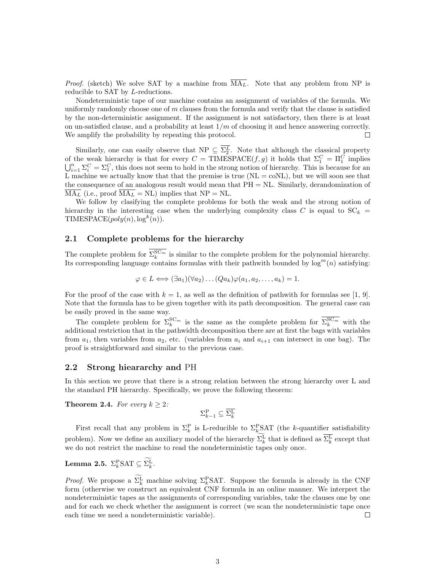*Proof.* (sketch) We solve SAT by a machine from  $\overline{MA_L}$ . Note that any problem from NP is reducible to SAT by L-reductions.

Nondeterministic tape of our machine contains an assignment of variables of the formula. We uniformly randomly choose one of  $m$  clauses from the formula and verify that the clause is satisfied by the non-deterministic assignment. If the assignment is not satisfactory, then there is at least on un-satisfied clause, and a probability at least  $1/m$  of choosing it and hence answering correctly. We amplify the probability by repeating this protocol.  $\Box$ 

Similarly, one can easily observe that NP  $\subseteq \Sigma_2^L$ . Note that although the classical property of the weak hierarchy is that for every  $C = \text{TIMESPACE}(f, g)$  it holds that  $\Sigma_1^C = \Pi_1^C$  implies  $\bigcup_{i=1}^n \Sigma_i^C = \Sigma_1^C$ , this does not seem to hold in the strong notion of hierarchy. This is because for an L machine we actually know that that the premise is true  $(NL = \text{co}NL)$ , but we will soon see that the consequence of an analogous result would mean that  $PH = NL$ . Similarly, derandomization of  $\overline{\text{MA}_{L}}$  (i.e., proof  $\overline{\text{MA}_{L}}$  = NL) implies that NP = NL.

We follow by clasifying the complete problems for both the weak and the strong notion of hierarchy in the interesting case when the underlying complexity class C is equal to  $SC_k$  = TIMESPACE $(poly(n), \log^k(n))$ .

#### 2.1 Complete problems for the hierarchy

The complete problem for  $\Sigma_k^{\mathcal{SC}_m}$  is similar to the complete problem for the polynomial hierarchy. Its corresponding language contains formulas with their pathwith bounded by  $\log^{m}(n)$  satisfying:

$$
\varphi \in L \Longleftrightarrow (\exists a_1)(\forall a_2) \dots (Qa_k)\varphi(a_1, a_2, \dots, a_k) = 1.
$$

For the proof of the case with  $k = 1$ , as well as the definition of pathwith for formulas see [1, 9]. Note that the formula has to be given together with its path decomposition. The general case can be easily proved in the same way.

The complete problem for  $\Sigma_k^{\text{SC}_m}$  is the same as the complete problem for  $\Sigma_k^{\text{SC}_m}$  with the additional restriction that in the pathwidth decomposition there are at first the bags with variables from  $a_1$ , then variables from  $a_2$ , etc. (variables from  $a_i$  and  $a_{i+1}$  can intersect in one bag). The proof is straightforward and similar to the previous case.

#### 2.2 Strong hieararchy and PH

In this section we prove that there is a strong relation between the strong hierarchy over L and the standard PH hierarchy. Specifically, we prove the following theorem:

**Theorem 2.4.** For every  $k \geq 2$ :

$$
\Sigma_{k-1}^{\mathcal{P}} \subseteq \overline{\Sigma_{k}^{\mathcal{L}}}
$$

First recall that any problem in  $\Sigma_k^{\text{P}}$  is L-reducible to  $\Sigma_k^{\text{P}}$ SAT (the k-quantifier satisfiability problem). Now we define an auxiliary model of the hierarchy  $\Sigma_k^{\rm L}$  that is defined as  $\Sigma_k^{\rm L}$  except that we do not restrict the machine to read the nondeterministic tapes only once.

Lemma 2.5.  $\Sigma_k^{\text{P}} \text{SAT} \subseteq \Sigma_k^{\text{L}}$ .

*Proof.* We propose a  $\Sigma_k^{\text{L}}$  machine solving  $\Sigma_k^{\text{P}} SAT$ . Suppose the formula is already in the CNF form (otherwise we construct an equivalent CNF formula in an online manner. We interpret the nondeterministic tapes as the assignments of corresponding variables, take the clauses one by one and for each we check whether the assignment is correct (we scan the nondeterministic tape once each time we need a nondeterministic variable).  $\Box$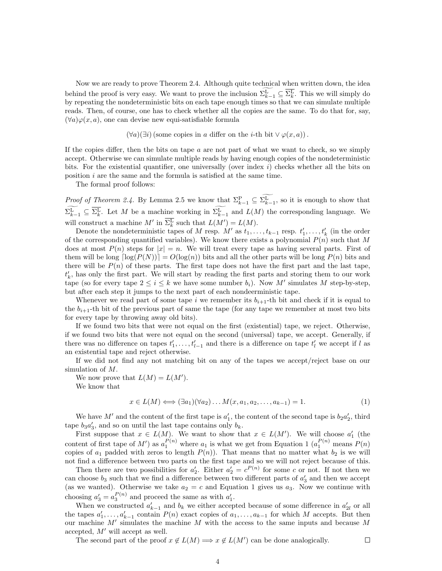Now we are ready to prove Theorem 2.4. Although quite technical when written down, the idea behind the proof is very easy. We want to prove the inclusion  $\Sigma_{k-1}^{\mathcal{L}} \subseteq \Sigma_k^{\mathcal{L}}$ . This we will simply do by repeating the nondeterministic bits on each tape enough times so that we can simulate multiple reads. Then, of course, one has to check whether all the copies are the same. To do that for, say,  $(\forall a)\varphi(x, a)$ , one can devise new equi-satisfiable formula

 $(\forall a)(\exists i)$  (some copies in a differ on the *i*-th bit  $\vee \varphi(x, a)$ ).

If the copies differ, then the bits on tape  $a$  are not part of what we want to check, so we simply accept. Otherwise we can simulate multiple reads by having enough copies of the nondeterministic bits. For the existential quantifier, one universally (over index  $i$ ) checks whether all the bits on position i are the same and the formula is satisfied at the same time.

The formal proof follows:

*Proof of Theorem 2.4.* By Lemma 2.5 we know that  $\Sigma_{k-1}^{\mathcal{P}} \subseteq \Sigma_{k-1}^{\mathcal{L}}$ , so it is enough to show that  $\Sigma_{k-1}^{\text{L}} \subseteq \Sigma_k^{\text{L}}$ . Let M be a machine working in  $\Sigma_{k-1}^{\text{L}}$  and  $L(M)$  the corresponding language. We will construct a machine  $M'$  in  $\overline{\Sigma_k^L}$  such that  $L(M') = L(M)$ .

Denote the nondeterministic tapes of M resp.  $M'$  as  $t_1, \ldots, t_{k-1}$  resp.  $t'_1, \ldots, t'_k$  (in the order of the corresponding quantified variables). We know there exists a polynomial  $P(n)$  such that M does at most  $P(n)$  steps for  $|x| = n$ . We will treat every tape as having several parts. First of them will be long  $\lceil \log(P(N)) \rceil = O(\log(n))$  bits and all the other parts will be long  $P(n)$  bits and there will be  $P(n)$  of these parts. The first tape does not have the first part and the last tape,  $t'_{k}$ , has only the first part. We will start by reading the first parts and storing them to our work tape (so for every tape  $2 \le i \le k$  we have some number  $b_i$ ). Now M' simulates M step-by-step, but after each step it jumps to the next part of each nondeerministic tape.

Whenever we read part of some tape i we remember its  $b_{i+1}$ -th bit and check if it is equal to the  $b_{i+1}$ -th bit of the previous part of same the tape (for any tape we remember at most two bits for every tape by throwing away old bits).

If we found two bits that were not equal on the first (existential) tape, we reject. Otherwise, if we found two bits that were not equal on the second (universal) tape, we accept. Generally, if there was no difference on tapes  $t'_1, \ldots, t'_{l-1}$  and there is a difference on tape  $t'_l$  we accept if l as an existential tape and reject otherwise.

If we did not find any not matching bit on any of the tapes we accept/reject base on our simulation of M.

We now prove that  $L(M) = L(M')$ .

We know that

$$
x \in L(M) \Longleftrightarrow (\exists a_1)(\forall a_2) \dots M(x, a_1, a_2, \dots, a_{k-1}) = 1. \tag{1}
$$

 $\Box$ 

We have M' and the content of the first tape is  $a'_1$ , the content of the second tape is  $b_2a'_2$ , third tape  $b_3a'_3$ , and so on until the last tape contains only  $b_k$ .

First suppose that  $x \in L(M)$ . We want to show that  $x \in L(M')$ . We will choose  $a'_1$  (the content of first tape of M') as  $a_1^{P(n)}$  where  $a_1$  is what we get from Equation 1  $(a_1^{P(n)}$  means  $P(n)$ copies of  $a_1$  padded with zeros to length  $P(n)$ ). That means that no matter what  $b_2$  is we will not find a difference between two parts on the first tape and so we will not reject because of this.

Then there are two possibilities for  $a'_2$ . Either  $a'_2 = c^{P(n)}$  for some c or not. If not then we can choose  $b_3$  such that we find a difference between two different parts of  $a'_3$  and then we accept (as we wanted). Otherwise we take  $a_2 = c$  and Equation 1 gives us  $a_3$ . Now we continue with choosing  $a'_3 = a_3^{P(n)}$  and proceed the same as with  $a'_1$ .

When we constructed  $a'_{k-1}$  and  $b_k$  we either accepted because of some difference in  $a'_{2l}$  or all the tapes  $a'_1, \ldots, a'_{k-1}$  contain  $P(n)$  exact copies of  $a_1, \ldots, a_{k-1}$  for which M accepts. But then our machine  $M'$  simulates the machine  $M$  with the access to the same inputs and because  $M$ accepted,  $M'$  will accept as well.

The second part of the proof  $x \notin L(M) \Longrightarrow x \notin L(M')$  can be done analogically.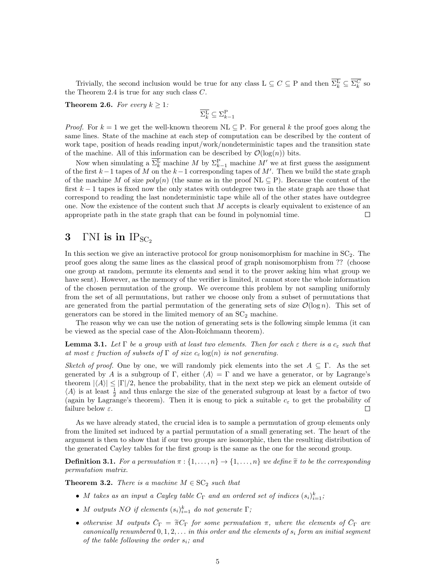Trivially, the second inclusion would be true for any class  $L \subseteq C \subseteq P$  and then  $\Sigma_k^L \subseteq \Sigma_k^C$  so the Theorem 2.4 is true for any such class  $C$ .

**Theorem 2.6.** For every  $k \geq 1$ :

$$
\overline{\Sigma_k^{\rm L}}\subseteq \Sigma_{k-1}^{\rm P}
$$

*Proof.* For  $k = 1$  we get the well-known theorem NL  $\subseteq$  P. For general k the proof goes along the same lines. State of the machine at each step of computation can be described by the content of work tape, position of heads reading input/work/nondeterministic tapes and the transition state of the machine. All of this information can be described by  $\mathcal{O}(\log(n))$  bits.

Now when simulating a  $\overline{\Sigma_k^L}$  machine M by  $\Sigma_{k-1}^P$  machine M' we at first guess the assignment of the first  $k-1$  tapes of M on the  $k-1$  corresponding tapes of M'. Then we build the state graph of the machine M of size  $poly(n)$  (the same as in the proof NL  $\subseteq$  P). Because the content of the first  $k-1$  tapes is fixed now the only states with outdegree two in the state graph are those that correspond to reading the last nondeterministic tape while all of the other states have outdegree one. Now the existence of the content such that  $M$  accepts is clearly equivalent to existence of an appropriate path in the state graph that can be found in polynomial time.  $\Box$ 

# 3 INI is in  $IP_{SC_2}$

In this section we give an interactive protocol for group nonisomorphism for machine in  $SC<sub>2</sub>$ . The proof goes along the same lines as the classical proof of graph nonisomorphism from ?? (choose one group at random, permute its elements and send it to the prover asking him what group we have sent). However, as the memory of the verifier is limited, it cannot store the whole information of the chosen permutation of the group. We overcome this problem by not sampling uniformly from the set of all permutations, but rather we choose only from a subset of permutations that are generated from the partial permutation of the generating sets of size  $\mathcal{O}(\log n)$ . This set of generators can be stored in the limited memory of an  $SC<sub>2</sub>$  machine.

The reason why we can use the notion of generating sets is the following simple lemma (it can be viewed as the special case of the Alon-Roichmann theorem).

**Lemma 3.1.** Let  $\Gamma$  be a group with at least two elements. Then for each  $\varepsilon$  there is a  $c_{\varepsilon}$  such that at most  $\varepsilon$  fraction of subsets of  $\Gamma$  of size  $c_{\varepsilon} \log(n)$  is not generating.

Sketch of proof. One by one, we will randomly pick elements into the set  $A \subseteq \Gamma$ . As the set generated by A is a subgroup of Γ, either  $\langle A \rangle = \Gamma$  and we have a generator, or by Lagrange's theorem  $|\langle A \rangle| \leq |\Gamma|/2$ , hence the probability, that in the next step we pick an element outside of  $\langle A \rangle$  is at least  $\frac{1}{2}$  and thus enlarge the size of the generated subgroup at least by a factor of two (again by Lagrange's theorem). Then it is enoug to pick a suitable  $c_{\varepsilon}$  to get the probability of failure below  $\varepsilon$ .  $\Box$ 

As we have already stated, the crucial idea is to sample a permutation of group elements only from the limited set induced by a partial permutation of a small generating set. The heart of the argument is then to show that if our two groups are isomorphic, then the resulting distribution of the generated Cayley tables for the first group is the same as the one for the second group.

**Definition 3.1.** For a permutation  $\pi : \{1, \ldots, n\} \to \{1, \ldots, n\}$  we define  $\widetilde{\pi}$  to be the corresponding permutation matrix.

**Theorem 3.2.** There is a machine  $M \in \text{SC}_2$  such that

- M takes as an input a Cayley table  $C_{\Gamma}$  and an ordered set of indices  $(s_i)_{i=1}^k$ ;
- M outputs NO if elements  $(s_i)_{i=1}^k$  do not generate  $\Gamma$ ;
- otherwise M outputs  $\bar{C}_{\Gamma} = \tilde{\pi} C_{\Gamma}$  for some permutation  $\pi$ , where the elements of  $\bar{C}_{\Gamma}$  are cononically renumbered 0, 1,2 in this order and the elements of a form an initial economic canonically renumbered  $0, 1, 2, \ldots$  in this order and the elements of  $s_i$  form an initial segment of the table following the order  $s_i$ ; and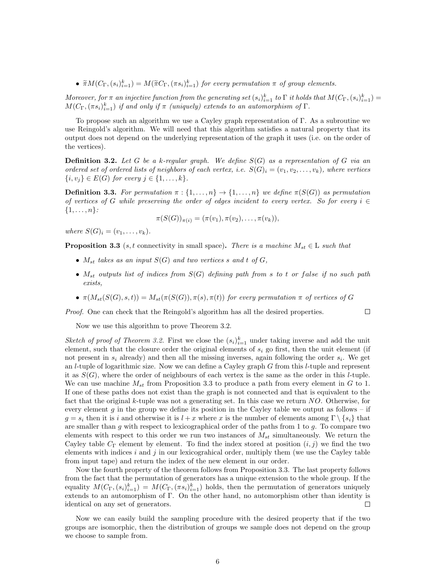•  $\widetilde{\pi}M(C_{\Gamma},(s_i)_{i=1}^k) = M(\widetilde{\pi}C_{\Gamma},(\pi s_i)_{i=1}^k)$  for every permutation  $\pi$  of group elements.

Moreover, for  $\pi$  an injective function from the generating set  $(s_i)_{i=1}^k$  to  $\Gamma$  it holds that  $M(C_{\Gamma}, (s_i)_{i=1}^k)$  $M(C_{\Gamma}, (\pi s_i)_{i=1}^k)$  if and only if  $\pi$  (uniquely) extends to an automorphism of  $\Gamma$ .

To propose such an algorithm we use a Cayley graph representation of Γ. As a subroutine we use Reingold's algorithm. We will need that this algorithm satisfies a natural property that its output does not depend on the underlying representation of the graph it uses (i.e. on the order of the vertices).

**Definition 3.2.** Let G be a k-regular graph. We define  $S(G)$  as a representation of G via an ordered set of ordered lists of neighbors of each vertex, i.e.  $S(G)_i = (v_1, v_2, \ldots, v_k)$ , where vertices  $\{i, v_i\} \in E(G)$  for every  $j \in \{1, ..., k\}.$ 

**Definition 3.3.** For permutation  $\pi$  :  $\{1, \ldots, n\} \rightarrow \{1, \ldots, n\}$  we define  $\pi(S(G))$  as permutation of vertices of G while preserving the order of edges incident to every vertex. So for every  $i \in$  $\{1, \ldots, n\}$ :

$$
\pi(S(G))_{\pi(i)} = (\pi(v_1), \pi(v_2), \ldots, \pi(v_k)),
$$

where  $S(G)_i = (v_1, \ldots, v_k)$ .

**Proposition 3.3** (s, t connectivity in small space). There is a machine  $M_{st} \in L$  such that

- $M_{st}$  takes as an input  $S(G)$  and two vertices s and t of  $G$ ,
- $M_{st}$  outputs list of indices from  $S(G)$  defining path from s to t or false if no such path exists,
- $\pi(M_{st}(S(G), s, t)) = M_{st}(\pi(S(G)), \pi(s), \pi(t))$  for every permutation  $\pi$  of vertices of G

Proof. One can check that the Reingold's algorithm has all the desired properties.

 $\Box$ 

Now we use this algorithm to prove Theorem 3.2.

Sketch of proof of Theorem 3.2. First we close the  $(s_i)_{i=1}^k$  under taking inverse and add the unit element, such that the closure order the original elements of  $s_i$  go first, then the unit element (if not present in  $s_i$  already) and then all the missing inverses, again following the order  $s_i$ . We get an l-tuple of logarithmic size. Now we can define a Cayley graph G from this l-tuple and represent it as  $S(G)$ , where the order of neighbours of each vertex is the same as the order in this *l*-tuple. We can use machine  $M_{st}$  from Proposition 3.3 to produce a path from every element in G to 1. If one of these paths does not exist than the graph is not connected and that is equivalent to the fact that the original k-tuple was not a generating set. In this case we return  $NO$ . Otherwise, for every element g in the group we define its position in the Cayley table we output as follows – if  $g = s_i$  then it is i and otherwise it is  $l + x$  where x is the number of elements among  $\Gamma \setminus \{s_i\}$  that are smaller than g with respect to lexicographical order of the paths from 1 to  $g$ . To compare two elements with respect to this order we run two instances of  $M_{st}$  simultaneously. We return the Cayley table  $C_{\Gamma}$  element by element. To find the index stored at position  $(i, j)$  we find the two elements with indices  $i$  and  $j$  in our lexicograhical order, multiply them (we use the Cayley table from input tape) and return the index of the new element in our order.

Now the fourth property of the theorem follows from Proposition 3.3. The last property follows from the fact that the permutation of generators has a unique extension to the whole group. If the equality  $M(C_{\Gamma}, (s_i)_{i=1}^k) = M(C_{\Gamma}, (\pi s_i)_{i=1}^k)$  holds, then the permutation of generators uniquely extends to an automorphism of Γ. On the other hand, no automorphism other than identity is identical on any set of generators.  $\Box$ 

Now we can easily build the sampling procedure with the desired property that if the two groups are isomorphic, then the distribution of groups we sample does not depend on the group we choose to sample from.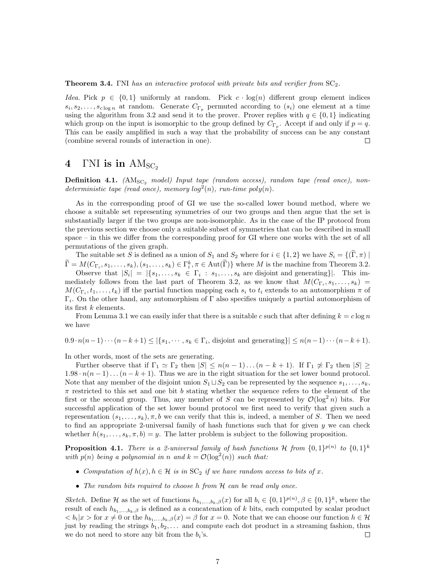**Theorem 3.4.** ΓΝΙ has an interactive protocol with private bits and verifier from  $SC_2$ .

*Idea.* Pick  $p \in \{0,1\}$  uniformly at random. Pick  $c \cdot \log(n)$  different group element indices  $s_i, s_2, \ldots, s_{c \log n}$  at random. Generate  $C_{\Gamma_p}$  permuted according to  $(s_i)$  one element at a time using the algorithm from 3.2 and send it to the prover. Prover replies with  $q \in \{0,1\}$  indicating which group on the input is isomorphic to the group defined by  $C_{\Gamma_p}$ . Accept if and only if  $p = q$ . This can be easily amplified in such a way that the probability of success can be any constant (combine several rounds of interaction in one).  $\Box$ 

# 4  $\Gamma$ NI is in  $AM_{SC_2}$

**Definition 4.1.** ( $AM_{SC_2}$  model) Input tape (random access), random tape (read once), nondeterministic tape (read once), memory  $log^2(n)$ , run-time  $poly(n)$ .

As in the corresponding proof of GI we use the so-called lower bound method, where we choose a suitable set representing symmetries of our two groups and then argue that the set is substantially larger if the two groups are non-isomorphic. As in the case of the IP protocol from the previous section we choose only a suitable subset of symmetries that can be described in small space – in this we differ from the corresponding proof for GI where one works with the set of all permutations of the given graph.

The suitable set S is defined as a union of  $S_1$  and  $S_2$  where for  $i \in \{1,2\}$  we have  $S_i = \{(\Gamma, \pi) \mid \Pi_i\}$  $\widetilde{\Gamma} = M(C_{\Gamma_i}, s_1, \ldots, s_k), (s_1, \ldots, s_k) \in \Gamma_i^k, \pi \in \text{Aut}(\widetilde{\Gamma})\}$  where M is the machine from Theorem 3.2.

Observe that  $|S_i| = |\{s_1, \ldots, s_k \in \Gamma_i : s_1, \ldots, s_k \text{ are disjoint and generating}\}|$ . This immediately follows from the last part of Theorem 3.2, as we know that  $M(C_{\Gamma_i}, s_1, \ldots, s_k)$  =  $M(C_{\Gamma_i}, t_1, \ldots, t_k)$  iff the partial function mapping each  $s_i$  to  $t_i$  extends to an automorphism  $\pi$  of  $\Gamma_i$ . On the other hand, any automorphism of  $\Gamma$  also specifies uniquely a partial automorphism of its first k elements.

From Lemma 3.1 we can easily infer that there is a suitable c such that after defining  $k = c \log n$ we have

 $0.9 \cdot n(n-1)\cdots(n-k+1) \leq |\{s_1, \cdots, s_k \in \Gamma_i,$  disjoint and generating $\}| \leq n(n-1)\cdots(n-k+1)$ .

In other words, most of the sets are generating.

Further observe that if  $\Gamma_1 \simeq \Gamma_2$  then  $|S| \leq n(n-1)...(n-k+1)$ . If  $\Gamma_1 \not\simeq \Gamma_2$  then  $|S| \geq$  $1.98 \cdot n(n-1)...(n-k+1)$ . Thus we are in the right situation for the set lower bound protocol. Note that any member of the disjoint union  $S_1 \sqcup S_2$  can be represented by the sequence  $s_1, \ldots, s_k$ ,  $\pi$  restricted to this set and one bit b stating whether the sequence refers to the element of the first or the second group. Thus, any member of S can be represented by  $\mathcal{O}(\log^2 n)$  bits. For successful application of the set lower bound protocol we first need to verify that given such a representation  $(s_1, \ldots, s_k), \pi, b$  we can verify that this is, indeed, a member of S. Then we need to find an appropriate 2-universal family of hash functions such that for given  $y$  we can check whether  $h(s_1, \ldots, s_k, \pi, b) = y$ . The latter problem is subject to the following proposition.

**Proposition 4.1.** There is a 2-universal family of hash functions H from  $\{0,1\}^{p(n)}$  to  $\{0,1\}^k$ with  $p(n)$  being a polynomial in n and  $k = \mathcal{O}(\log^2(n))$  such that:

- Computation of  $h(x)$ ,  $h \in \mathcal{H}$  is in SC<sub>2</sub> if we have random access to bits of x.
- The random bits required to choose h from  $H$  can be read only once.

Sketch. Define H as the set of functions  $h_{b_1,...,b_k,\beta}(x)$  for all  $b_i \in \{0,1\}^{p(n)}$ ,  $\beta \in \{0,1\}^k$ , where the result of each  $h_{b_1,\ldots,b_k,\beta}$  is defined as a concatenation of k bits, each computed by scalar product  $\langle b_i | x \rangle$  for  $x \neq 0$  or the  $h_{b_1,...,b_k,\beta}(x) = \beta$  for  $x = 0$ . Note that we can choose our function  $h \in \mathcal{H}$ just by reading the strings  $b_1, b_2, \ldots$  and compute each dot product in a streaming fashion, thus we do not need to store any bit from the  $b_i$ 's.  $\Box$